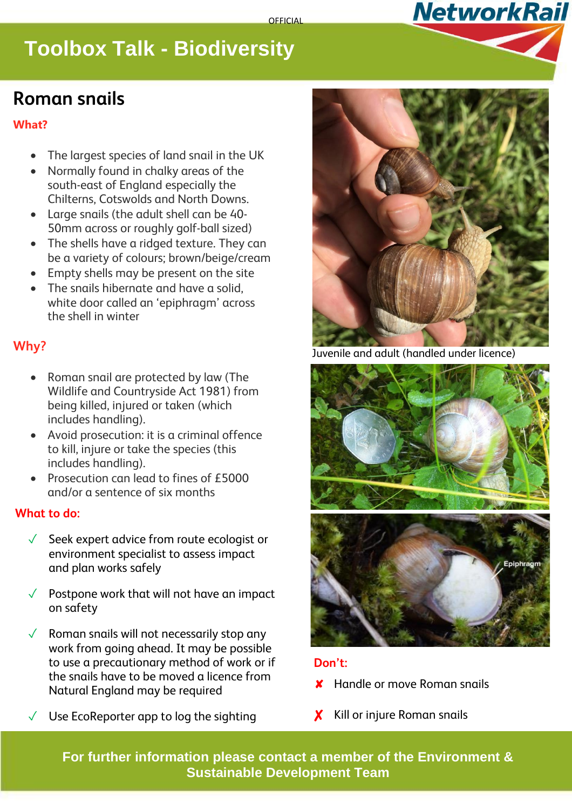# **Toolbox Talk - Biodiversity**

## **Roman snails**

#### **What?**

- The largest species of land snail in the UK
- Normally found in chalky areas of the south-east of England especially the Chilterns, Cotswolds and North Downs.
- Large snails (the adult shell can be 40- 50mm across or roughly golf-ball sized)
- The shells have a ridged texture. They can be a variety of colours; brown/beige/cream
- Empty shells may be present on the site
- The snails hibernate and have a solid, white door called an 'epiphragm' across the shell in winter

### **Why?**

- Roman snail are protected by law (The Wildlife and Countryside Act 1981) from being killed, injured or taken (which includes handling).
- Avoid prosecution: it is a criminal offence to kill, injure or take the species (this includes handling).
- Prosecution can lead to fines of £5000 and/or a sentence of six months

### **What to do:**

- ✓ Seek expert advice from route ecologist or environment specialist to assess impact and plan works safely
- Postpone work that will not have an impact on safety
- $\sqrt{\phantom{a}}$  Roman snails will not necessarily stop any work from going ahead. It may be possible to use a precautionary method of work or if the snails have to be moved a licence from Natural England may be required
- Use EcoReporter app to log the sighting



**NetworkRail** 

Juvenile and adult (handled under licence)



#### **Don't:**

- ✘ Handle or move Roman snails
- X Kill or injure Roman snails

**For further information please contact a member of the Environment & Sustainable Development Team**